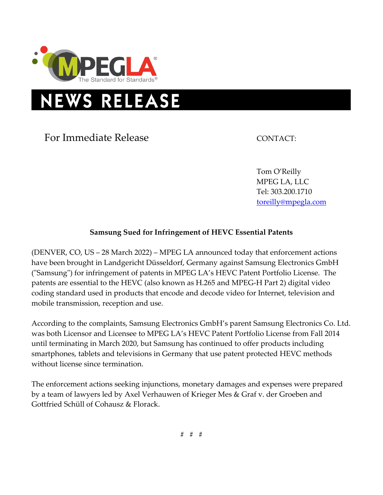

## **NEWS RELEASE**

For Immediate Release CONTACT:

Tom O'Reilly MPEG LA, LLC Tel: 303.200.1710 [toreilly@mpegla.com](mailto:toreilly@mpegla.com)

## **Samsung Sued for Infringement of HEVC Essential Patents**

(DENVER, CO, US – 28 March 2022) – MPEG LA announced today that enforcement actions have been brought in Landgericht Düsseldorf, Germany against Samsung Electronics GmbH ("Samsung") for infringement of patents in MPEG LA's HEVC Patent Portfolio License. The patents are essential to the HEVC (also known as H.265 and MPEG-H Part 2) digital video coding standard used in products that encode and decode video for Internet, television and mobile transmission, reception and use.

According to the complaints, Samsung Electronics GmbH's parent Samsung Electronics Co. Ltd. was both Licensor and Licensee to MPEG LA's HEVC Patent Portfolio License from Fall 2014 until terminating in March 2020, but Samsung has continued to offer products including smartphones, tablets and televisions in Germany that use patent protected HEVC methods without license since termination.

The enforcement actions seeking injunctions, monetary damages and expenses were prepared by a team of lawyers led by Axel Verhauwen of Krieger Mes & Graf v. der Groeben and Gottfried Schüll of Cohausz & Florack.

# # #